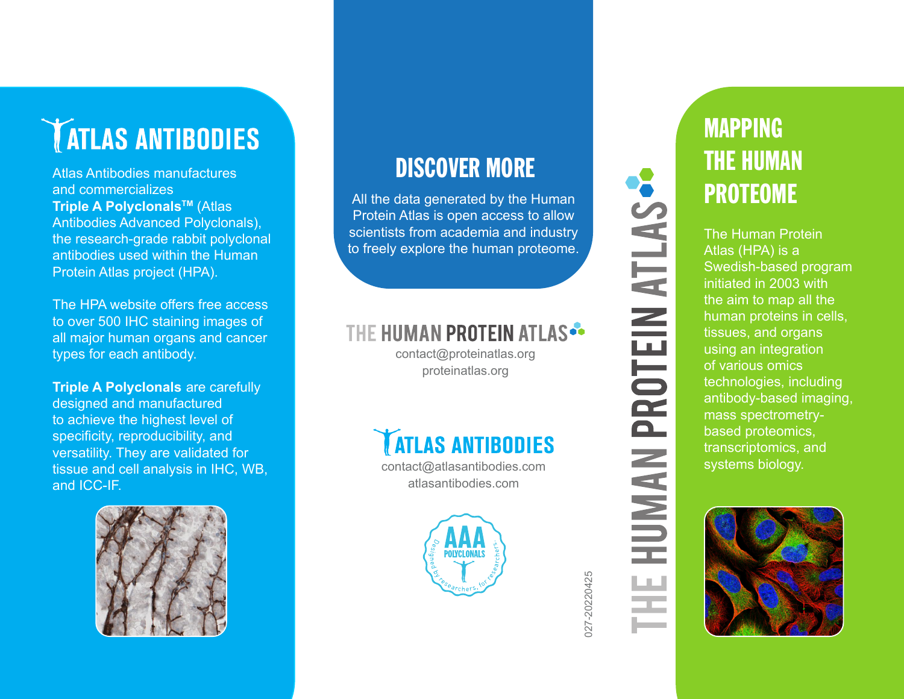# **TATLAS ANTIBODIES**

Atlas Antibodies manufactures and commercializes **Triple A Polyclonals™ (Atlas** Antibodies Advanced Polyclonals), the research-grade rabbit polyclonal antibodies used within the Human Protein Atlas project (HPA).

The HPA website offers free access to over 500 IHC staining images of all major human organs and cancer types for each antibody.

**Triple A Polyclonals** are carefully designed and manufactured to achieve the highest level of specificity, reproducibility, and versatility. They are validated for tissue and cell analysis in IHC, WB, and ICC-IF.



### DISCOVER MORE

All the data generated by the Human Protein Atlas is open access to allow scientists from academia and industry to freely explore the human proteome.

### THE HUMAN PROTEIN ATLAS

contact@proteinatlas.org proteinatlas.org



contact@atlasantibodies.com atlasantibodies.com



**HUMAN PROTEIN ATLAS-**ĿШ

027-20220425

027-20220425

### MAPPING THE HUMAN PROTEOME

The Human Protein Atlas (HPA) is a Swedish-based program initiated in 2003 with the aim to map all the human proteins in cells, tissues, and organs using an integration of various omics technologies, including antibody-based imaging, mass spectrometrybased proteomics, transcriptomics, and systems biology.